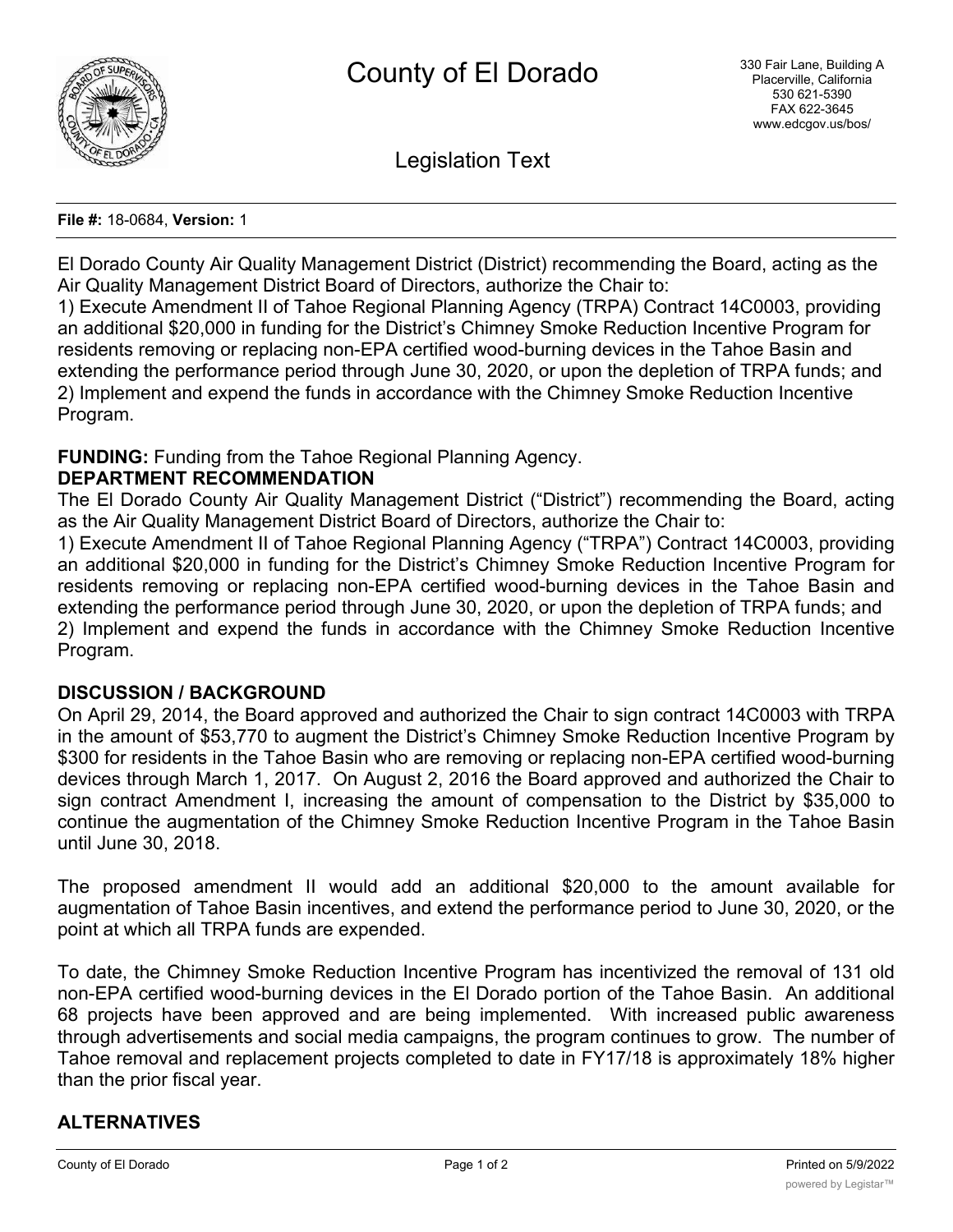

Legislation Text

#### **File #:** 18-0684, **Version:** 1

El Dorado County Air Quality Management District (District) recommending the Board, acting as the Air Quality Management District Board of Directors, authorize the Chair to:

1) Execute Amendment II of Tahoe Regional Planning Agency (TRPA) Contract 14C0003, providing an additional \$20,000 in funding for the District's Chimney Smoke Reduction Incentive Program for residents removing or replacing non-EPA certified wood-burning devices in the Tahoe Basin and extending the performance period through June 30, 2020, or upon the depletion of TRPA funds; and 2) Implement and expend the funds in accordance with the Chimney Smoke Reduction Incentive Program.

## **FUNDING:** Funding from the Tahoe Regional Planning Agency.

### **DEPARTMENT RECOMMENDATION**

The El Dorado County Air Quality Management District ("District") recommending the Board, acting as the Air Quality Management District Board of Directors, authorize the Chair to:

1) Execute Amendment II of Tahoe Regional Planning Agency ("TRPA") Contract 14C0003, providing an additional \$20,000 in funding for the District's Chimney Smoke Reduction Incentive Program for residents removing or replacing non-EPA certified wood-burning devices in the Tahoe Basin and extending the performance period through June 30, 2020, or upon the depletion of TRPA funds; and 2) Implement and expend the funds in accordance with the Chimney Smoke Reduction Incentive Program.

## **DISCUSSION / BACKGROUND**

On April 29, 2014, the Board approved and authorized the Chair to sign contract 14C0003 with TRPA in the amount of \$53,770 to augment the District's Chimney Smoke Reduction Incentive Program by \$300 for residents in the Tahoe Basin who are removing or replacing non-EPA certified wood-burning devices through March 1, 2017. On August 2, 2016 the Board approved and authorized the Chair to sign contract Amendment I, increasing the amount of compensation to the District by \$35,000 to continue the augmentation of the Chimney Smoke Reduction Incentive Program in the Tahoe Basin until June 30, 2018.

The proposed amendment II would add an additional \$20,000 to the amount available for augmentation of Tahoe Basin incentives, and extend the performance period to June 30, 2020, or the point at which all TRPA funds are expended.

To date, the Chimney Smoke Reduction Incentive Program has incentivized the removal of 131 old non-EPA certified wood-burning devices in the El Dorado portion of the Tahoe Basin. An additional 68 projects have been approved and are being implemented. With increased public awareness through advertisements and social media campaigns, the program continues to grow. The number of Tahoe removal and replacement projects completed to date in FY17/18 is approximately 18% higher than the prior fiscal year.

# **ALTERNATIVES**